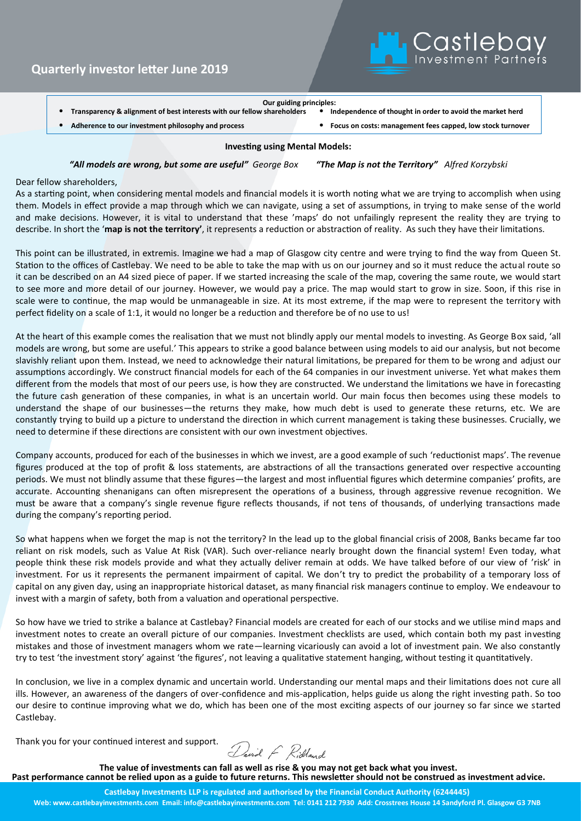

- **Transparency & alignment of best interests with our fellow shareholders** • **Independence of thought in order to avoid the market herd**
	- **Adherence to our investment philosophy and process** • **Focus on costs: management fees capped, low stock turnover**

### **Investing using Mental Models:**

*"All models are wrong, but some are useful" George Box "The Map is not the Territory" Alfred Korzybski* 

Dear fellow shareholders,

As a starting point, when considering mental models and financial models it is worth noting what we are trying to accomplish when using them. Models in effect provide a map through which we can navigate, using a set of assumptions, in trying to make sense of the world and make decisions. However, it is vital to understand that these 'maps' do not unfailingly represent the reality they are trying to describe. In short the '**map is not the territory'**, it represents a reduction or abstraction of reality. As such they have their limitations.

This point can be illustrated, in extremis. Imagine we had a map of Glasgow city centre and were trying to find the way from Queen St. Station to the offices of Castlebay. We need to be able to take the map with us on our journey and so it must reduce the actual route so it can be described on an A4 sized piece of paper. If we started increasing the scale of the map, covering the same route, we would start to see more and more detail of our journey. However, we would pay a price. The map would start to grow in size. Soon, if this rise in scale were to continue, the map would be unmanageable in size. At its most extreme, if the map were to represent the territory with perfect fidelity on a scale of 1:1, it would no longer be a reduction and therefore be of no use to us!

At the heart of this example comes the realisation that we must not blindly apply our mental models to investing. As George Box said, 'all models are wrong, but some are useful.' This appears to strike a good balance between using models to aid our analysis, but not become slavishly reliant upon them. Instead, we need to acknowledge their natural limitations, be prepared for them to be wrong and adjust our assumptions accordingly. We construct financial models for each of the 64 companies in our investment universe. Yet what makes them different from the models that most of our peers use, is how they are constructed. We understand the limitations we have in forecasting the future cash generation of these companies, in what is an uncertain world. Our main focus then becomes using these models to understand the shape of our businesses—the returns they make, how much debt is used to generate these returns, etc. We are constantly trying to build up a picture to understand the direction in which current management is taking these businesses. Crucially, we need to determine if these directions are consistent with our own investment objectives.

Company accounts, produced for each of the businesses in which we invest, are a good example of such 'reductionist maps'. The revenue figures produced at the top of profit & loss statements, are abstractions of all the transactions generated over respective accounting periods. We must not blindly assume that these figures—the largest and most influential figures which determine companies' profits, are accurate. Accounting shenanigans can often misrepresent the operations of a business, through aggressive revenue recognition. We must be aware that a company's single revenue figure reflects thousands, if not tens of thousands, of underlying transactions made during the company's reporting period.

So what happens when we forget the map is not the territory? In the lead up to the global financial crisis of 2008, Banks became far too reliant on risk models, such as Value At Risk (VAR). Such over-reliance nearly brought down the financial system! Even today, what people think these risk models provide and what they actually deliver remain at odds. We have talked before of our view of 'risk' in investment. For us it represents the permanent impairment of capital. We don't try to predict the probability of a temporary loss of capital on any given day, using an inappropriate historical dataset, as many financial risk managers continue to employ. We endeavour to invest with a margin of safety, both from a valuation and operational perspective.

So how have we tried to strike a balance at Castlebay? Financial models are created for each of our stocks and we utilise mind maps and investment notes to create an overall picture of our companies. Investment checklists are used, which contain both my past investing mistakes and those of investment managers whom we rate—learning vicariously can avoid a lot of investment pain. We also constantly try to test 'the investment story' against 'the figures', not leaving a qualitative statement hanging, without testing it quantitatively.

In conclusion, we live in a complex dynamic and uncertain world. Understanding our mental maps and their limitations does not cure all ills. However, an awareness of the dangers of over-confidence and mis-application, helps guide us along the right investing path. So too our desire to continue improving what we do, which has been one of the most exciting aspects of our journey so far since we started Castlebay.

Thank you for your continued interest and support.

David F Ridland

**The value of investments can fall as well as rise & you may not get back what you invest. Past performance cannot be relied upon as a guide to future returns. This newsletter should not be construed as investment advice.**

**Castlebay Investments LLP is regulated and authorised by the Financial Conduct Authority (6244445) Web: www.castlebayinvestments.com Email: info@castlebayinvestments.com Tel: 0141 212 7930 Add: Crosstrees House 14 Sandyford Pl. Glasgow G3 7NB**